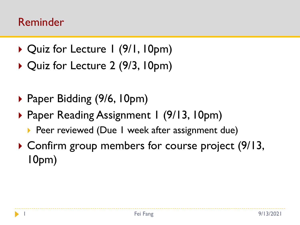#### Reminder

- ▶ Quiz for Lecture 1 (9/1, 10pm)
- ▶ Quiz for Lecture 2 (9/3, 10pm)
- ▶ Paper Bidding (9/6, 10pm)
- ▶ Paper Reading Assignment 1 (9/13, 10pm)
	- ▶ Peer reviewed (Due I week after assignment due)
- ▶ Confirm group members for course project (9/13, 10pm)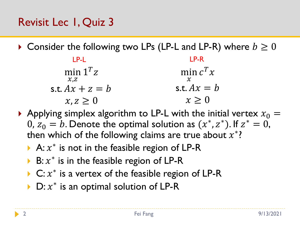- $\triangleright$  Consider the following two LPs (LP-L and LP-R) where  $b \geq 0$ 
	- min  $1^T z$  $\chi_{.Z}$ s.t.  $Ax + z = b$  $x, z \geq 0$ min  $c^T x$  $\boldsymbol{\chi}$ s.t.  $Ax = b$  $x \geq 0$ LP-L LP-R
- Applying simplex algorithm to LP-L with the initial vertex  $x_0 =$ 0,  $z_0 = b$ . Denote the optimal solution as  $(x^*, z^*)$ . If  $z^* = 0$ , then which of the following claims are true about  $x^*$ ?
	- A:  $x^*$  is not in the feasible region of LP-R
	- ▶ B:  $x^*$  is in the feasible region of LP-R
	- ▶ C:  $x^*$  is a vertex of the feasible region of LP-R
	- ▶ D:  $x^*$  is an optimal solution of LP-R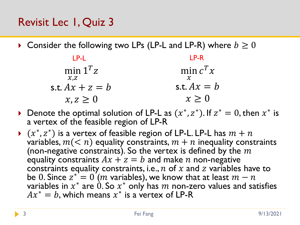# Revisit Lec 1, Quiz 3

 $\blacktriangleright$  Consider the following two LPs (LP-L and LP-R) where  $b \geq 0$ 

min  $1^T z$  $\mathcal{X}, Z$ s.t.  $Ax + z = b$  $x, z \geq 0$ min  $c^T x$  $\mathcal{X}$ s.t.  $Ax = b$  $x \geq 0$ LP-L LP-R

- ▶ Denote the optimal solution of LP-L as  $(x^*, z^*)$ . If  $z^* = 0$ , then  $x^*$  is a vertex of the feasible region of LP-R
- $\blacktriangleright$   $(x^*, z^*)$  is a vertex of feasible region of LP-L. LP-L has  $m + n$ variables,  $m(< n)$  equality constraints,  $m + n$  inequality constraints (non-negative constraints). So the vertex is defined by the  $m$ equality constraints  $Ax + z = b$  and make *n* non-negative constraints equality constraints, i.e., n of x and z variables have to be  $0.$  Since  $z^* = 0$   $\acute{} (m$  variables), we know that at least  $m-n$ variables in  $x^*$  are  $\grave{0}.$  So  $x^*$  only has  $m$  non-zero values and satisfies  $Ax^* = b$ , which means  $x^*$  is a vertex of LP-R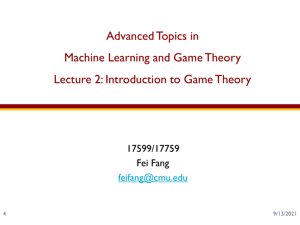# Advanced Topics in Machine Learning and Game Theory Lecture 2: Introduction to Game Theory

17599/17759 Fei Fang [feifang@cmu.edu](mailto:feifang@cmu.edu)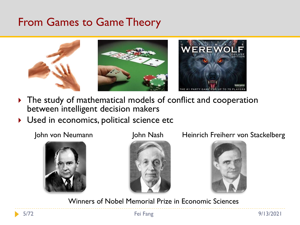#### From Games to Game Theory



- The study of mathematical models of conflict and cooperation between intelligent decision makers
- Used in economics, political science etc





John von Neumann John Nash Heinrich Freiherr von Stackelberg



Winners of Nobel Memorial Prize in Economic Sciences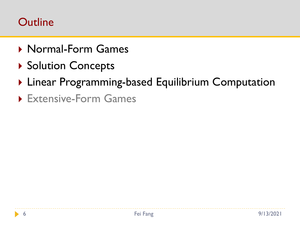#### **Outline**

- ▶ Normal-Form Games
- ▶ Solution Concepts
- ▶ Linear Programming-based Equilibrium Computation
- Extensive-Form Games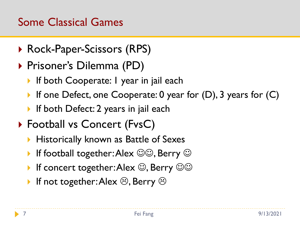#### Some Classical Games

- ▶ Rock-Paper-Scissors (RPS)
- ▶ Prisoner's Dilemma (PD)
	- **If both Cooperate: I year in jail each**
	- If one Defect, one Cooperate:  $0$  year for  $(D)$ , 3 years for  $(C)$
	- If both Defect: 2 years in jail each
- ▶ Football vs Concert (FvsC)
	- **Historically known as Battle of Sexes**
	- If football together: Alex  $\circledcirc\circ$ , Berry  $\circledcirc$
	- If concert together: Alex  $\odot$ , Berry  $\odot\odot$
	- If not together: Alex  $\odot$ , Berry  $\odot$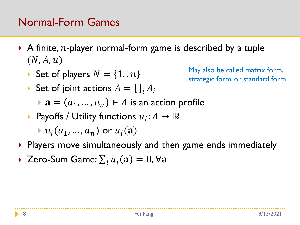#### Normal-Form Games

- A finite, *n*-player normal-form game is described by a tuple  $(N, A, u)$ 
	- Set of players  $N = \{1..n\}$
	- Set of joint actions  $A = \prod_i A_i$

May also be called matrix form, strategic form, or standard form

- $\mathbf{a} = (a_1, ..., a_n) \in A$  is an action profile
- **•** Payoffs / Utility functions  $u_i: A \to \mathbb{R}$

 $\vdash u_i(a_1, \ldots, a_n)$  or  $u_i(\mathbf{a})$ 

- ▶ Players move simultaneously and then game ends immediately
- ▶ Zero-Sum Game:  $\sum_i u_i(\mathbf{a}) = 0$ ,  $\forall \mathbf{a}$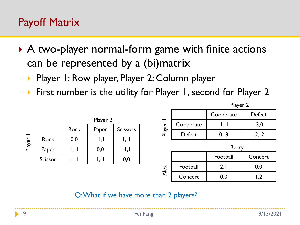#### Payoff Matrix

- ▶ A two-player normal-form game with finite actions can be represented by a (bi)matrix
	- Player 1: Row player, Player 2: Column player
	- ▶ First number is the utility for Player 1, second for Player 2

|        |             |             | Player 2 |                  |
|--------|-------------|-------------|----------|------------------|
|        |             | <b>Rock</b> | Paper    | <b>Scissors</b>  |
| Player | <b>Rock</b> | 0,0         | $-1,1$   | $\mathsf{I}$ ,-1 |
|        | Paper       | I ,- I      | 0,0      | $-1,1$           |
|        | Scissor     | -1, I       | I ,- I   | 0,0              |

|        |              | $i$ $a$ $j$ $c$ $r$ |         |  |  |  |
|--------|--------------|---------------------|---------|--|--|--|
|        |              | Cooperate           | Defect  |  |  |  |
| Player | Cooperate    | $-1,-1$             | $-3,0$  |  |  |  |
|        | Defect       | $0,-3$              | $-2,-2$ |  |  |  |
|        | <b>Berry</b> |                     |         |  |  |  |
|        |              | - 11<br>            |         |  |  |  |

Player 2

|             |          | Football | Concert |
|-------------|----------|----------|---------|
| $rac{8}{5}$ | Football |          |         |
|             | Concert  |          |         |

Q: What if we have more than 2 players?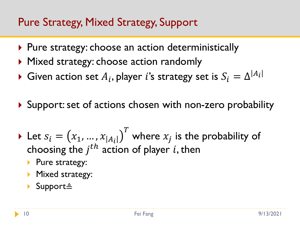#### Pure Strategy, Mixed Strategy, Support

- ▶ Pure strategy: choose an action deterministically
- ▶ Mixed strategy: choose action randomly
- $\blacktriangleright$  Given action set  $A_i,$  player  $i$ 's strategy set is  $S_i = \Delta^{|A_i|}$
- ▶ Support: set of actions chosen with non-zero probability
- Let  $s_i = (x_1, ..., x_{|A_i|})$  $\overline{T}$ where  $x_j$  is the probability of choosing the  $j^{th}$  action of player i, then
	- Pure strategy:
	- **Mixed strategy:**
	- Support≜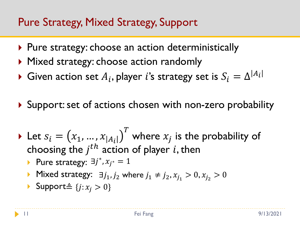#### Pure Strategy, Mixed Strategy, Support

- ▶ Pure strategy: choose an action deterministically
- ▶ Mixed strategy: choose action randomly
- $\blacktriangleright$  Given action set  $A_i,$  player  $i$ 's strategy set is  $S_i = \Delta^{|A_i|}$
- ▶ Support: set of actions chosen with non-zero probability
- Let  $s_i = (x_1, ..., x_{|A_i|})$  $\overline{T}$ where  $x_j$  is the probability of choosing the  $j^{th}$  action of player i, then ▶ Pure strategy:  $\exists j^*, x_{j^*} = 1$ 
	- ▶ Mixed strategy:  $\exists j_1, j_2$  where  $j_1 \neq j_2, x_{j_1} > 0, x_{j_2} > 0$
	- ▶ Support≜  $\{j : x_j > 0\}$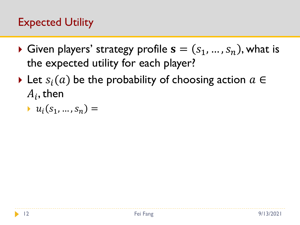# Expected Utility

- Given players' strategy profile  $s = (s_1, ..., s_n)$ , what is the expected utility for each player?
- Let  $S_i(a)$  be the probability of choosing action  $a \in$  $A_i$ , then

$$
\rightarrow u_i(s_1,\ldots,s_n) =
$$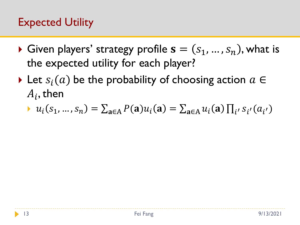# Expected Utility

- Given players' strategy profile  $s = (s_1, ..., s_n)$ , what is the expected utility for each player?
- Let  $S_i(a)$  be the probability of choosing action  $a \in$  $A_i$ , then
	- $u_i(s_1, ..., s_n) = \sum_{a \in A} P(a) u_i(a) = \sum_{a \in A} u_i(a) \prod_{i'} s_{i'}(a_{i'})$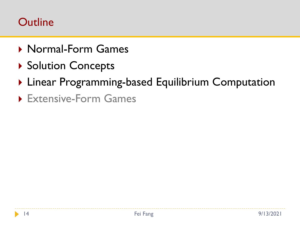#### **Outline**

- ▶ Normal-Form Games
- ▶ Solution Concepts
- ▶ Linear Programming-based Equilibrium Computation
- Extensive-Form Games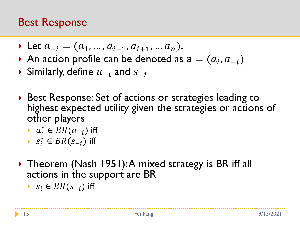#### Best Response

- $\triangleright$  Let  $a_{-i} = (a_1, ..., a_{i-1}, a_{i+1}, ..., a_n).$
- An action profile can be denoted as  $\mathbf{a} = (a_i, a_{-i})$
- Similarly, define  $u_{-i}$  and  $s_{-i}$
- ▶ Best Response: Set of actions or strategies leading to highest expected utility given the strategies or actions of other players

$$
\qquad \qquad \bullet \ \ a_i^* \in BR(a_{-i}) \text{ iff }
$$

- $\triangleright$   $s_i^*$  ∈  $BR(s_{-i})$  iff
- ▶ Theorem (Nash 1951): A mixed strategy is BR iff all actions in the support are BR
	- $S_i$  ∈  $BR(S_{-i})$  iff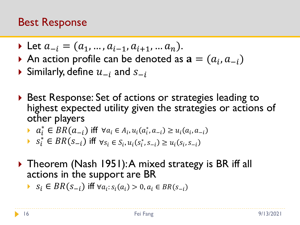#### Best Response

• Let 
$$
a_{-i} = (a_1, ..., a_{i-1}, a_{i+1}, ..., a_n)
$$
.

- An action profile can be denoted as  $\mathbf{a} = (a_i, a_{-i})$
- Similarly, define  $u_{-i}$  and  $s_{-i}$
- ▶ Best Response: Set of actions or strategies leading to highest expected utility given the strategies or actions of other players

• 
$$
a_i^* \in BR(a_{-i})
$$
 iff  $\forall a_i \in A_i, u_i(a_i^*, a_{-i}) \ge u_i(a_i, a_{-i})$ 

► 
$$
s_i^* \in BR(s_{-i})
$$
 iff  $\forall s_i \in S_i, u_i(s_i^*, s_{-i}) \ge u_i(s_i, s_{-i})$ 

- ▶ Theorem (Nash 1951): A mixed strategy is BR iff all actions in the support are BR
	- $S_i$  ∈  $BR(s_{-i})$  iff  $\forall a_i : s_i(a_i) > 0, a_i \in BR(s_{-i})$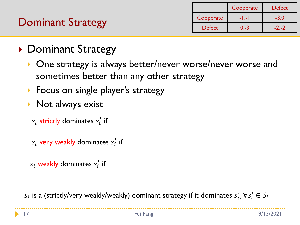|                          |               | Cooperate | <b>Defect</b> |
|--------------------------|---------------|-----------|---------------|
|                          | Cooperate     | $-1,-1$   | $-3.0$        |
| <b>Dominant Strategy</b> | <b>Defect</b> | $0.-3$    | $-2,-2$       |
|                          |               |           |               |

- ▶ Dominant Strategy
	- **One strategy is always better/never worse/never worse and** sometimes better than any other strategy
	- **Focus on single player's strategy**
	- $\triangleright$  Not always exist
		- $s_i$  strictly dominates  $s_i^\prime$  if
		- $s_i$  very weakly dominates  $s'_i$  if
		- $s_i$  weakly dominates  $s_i^{\prime}$  if

 $s_i$  is a (strictly/very weakly/weakly) dominant strategy if it dominates  $s'_i$ ,  $\forall s'_i \in S_i$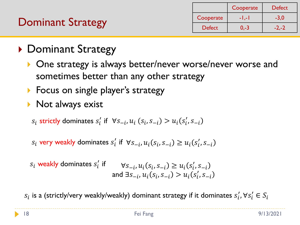|                   |               | Cooperate | <b>Defect</b> |
|-------------------|---------------|-----------|---------------|
|                   | Cooperate     | $-1. -1$  |               |
| Dominant Strategy | <b>Defect</b> | $0.-3$    |               |
|                   |               |           |               |

- ▶ Dominant Strategy
	- **One strategy is always better/never worse/never worse and** sometimes better than any other strategy
	- **Focus on single player's strategy**
	- Not always exist

 $s_i$  strictly dominates  $s'_i$  if  $\forall s_{-i}, u_i$   $(s_i, s_{-i}) > u_i(s'_i, s_{-i})$ 

 $s_i$  very weakly dominates  $s'_i$  if  $\forall s_{-i}, u_i(s_i, s_{-i}) \ge u_i(s'_i, s_{-i})$ 

$$
s_i \text{ weakly dominates } s'_i \text{ if } \forall s_{-i}, u_i(s_i, s_{-i}) \ge u_i(s'_i, s_{-i})
$$
  
and  $\exists s_{-i}, u_i(s_i, s_{-i}) > u_i(s'_i, s_{-i})$ 

 $s_i$  is a (strictly/very weakly/weakly) dominant strategy if it dominates  $s'_i$ ,  $\forall s'_i \in S_i$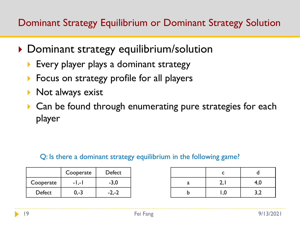#### Dominant Strategy Equilibrium or Dominant Strategy Solution

- ▶ Dominant strategy equilibrium/solution
	- **Every player plays a dominant strategy**
	- **Focus on strategy profile for all players**
	- $\triangleright$  Not always exist
	- ▶ Can be found through enumerating pure strategies for each player

#### Q: Is there a dominant strategy equilibrium in the following game?

|           | Cooperate | Defect  |
|-----------|-----------|---------|
| Cooperate | $-1,-1$   | $-3,0$  |
| Defect    | 0.-3      | $-2,-2$ |

| C   |     |
|-----|-----|
| 2,1 | 4,0 |
| 1,0 | 3,2 |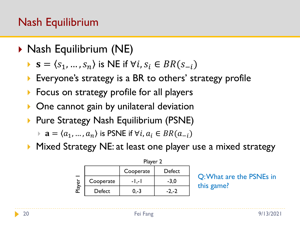#### Nash Equilibrium

- ▶ Nash Equilibrium (NE)
	- $\bullet$   $\mathbf{s} = \langle s_1, ..., s_n \rangle$  is NE if  $\forall i, s_i \in BR(s_{-i})$
	- ▶ Everyone's strategy is a BR to others' strategy profile
	- **Focus on strategy profile for all players**
	- **One cannot gain by unilateral deviation**
	- **Pure Strategy Nash Equilibrium (PSNE)** 
		- $\triangleright$  a =  $\langle a_1, ..., a_n \rangle$  is PSNE if  $\forall i, a_i \in BR(a_{-i})$
	- **Mixed Strategy NE: at least one player use a mixed strategy**

|        |           | Player 2  |        |  |  |
|--------|-----------|-----------|--------|--|--|
|        |           | Cooperate | Defect |  |  |
| Player | Cooperate | - I ,- I  | $-3,0$ |  |  |
|        | Defect    | 0.-3      |        |  |  |

Q: What are the PSNEs in this game?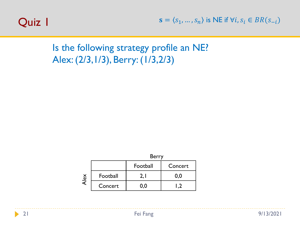

Is the following strategy profile an NE? Alex: (2/3,1/3), Berry: (1/3,2/3)



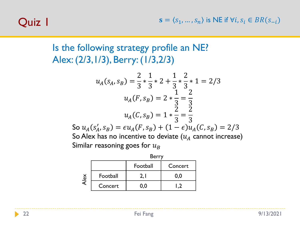$\mathbf{s} = \langle s_1, ..., s_n \rangle$  is NE if  $\forall i, s_i \in BR(s_{-i})$ 

# Quiz 1

#### Is the following strategy profile an NE? Alex: (2/3,1/3), Berry: (1/3,2/3)

$$
u_A(s_A, s_B) = \frac{2}{3} * \frac{1}{3} * 2 + \frac{1}{3} * \frac{2}{3} * 1 = 2/3
$$
  

$$
u_A(F, s_B) = 2 * \frac{1}{3} = \frac{2}{3}
$$
  

$$
u_A(C, s_B) = 1 * \frac{2}{3} = \frac{2}{3}
$$
  
So  $u_A(s'_A, s_B) = \epsilon u_A(F, s_B) + (1 - \epsilon)u_A(C, s_B) = 2/3$   
So Alex has no incentive to deviate  $(u_A \text{ cannot increase})$   
Similar reasoning goes for  $u_B$ 

|      |          | <b>Berry</b> |         |  |  |
|------|----------|--------------|---------|--|--|
|      |          | Football     | Concert |  |  |
| Alex | Football |              | 0.0     |  |  |
|      | Concert  | 0.0          |         |  |  |

b.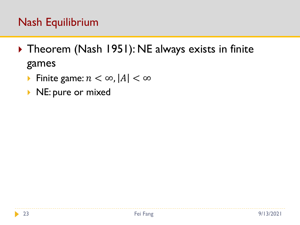#### Nash Equilibrium

- ▶ Theorem (Nash 1951): NE always exists in finite games
	- Finite game:  $n < \infty$ ,  $|A| < \infty$
	- NE: pure or mixed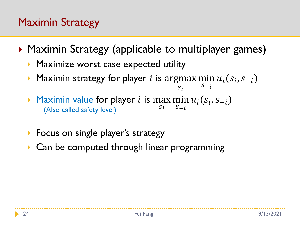# Maximin Strategy

- ▶ Maximin Strategy (applicable to multiplayer games)
	- **Maximize worst case expected utility**
	- Maximin strategy for player *i* is argmax min  $u_i(s_i, s_{-i})$  $Si$  $S_{-i}$
	- Maximin value for player *i* is max min  $u_i(s_i, s_{-i})$  $s_i$   $s_{-i}$ (Also called safety level)
	- **Focus on single player's strategy**
	- Can be computed through linear programming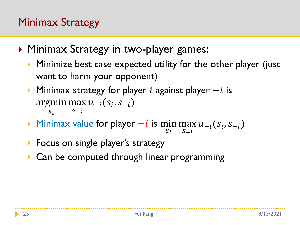# Minimax Strategy

- ▶ Minimax Strategy in two-player games:
	- Minimize best case expected utility for the other player (just want to harm your opponent)
	- Minimax strategy for player *i* against player  $-i$  is argmin max  $u_{-i}(s_i, s_{-i})$  $Si$  $S_{-i}$
	- ► Minimax value for player  $-i$  is min max  $u_{-i}(s_i, s_{-i})$  $s_i$   $s_{-i}$
	- **Focus on single player's strategy**
	- ▶ Can be computed through linear programming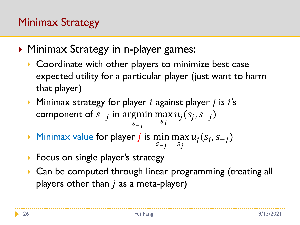# Minimax Strategy

- ▶ Minimax Strategy in n-player games:
	- Coordinate with other players to minimize best case expected utility for a particular player (just want to harm that player)
	- $\triangleright$  Minimax strategy for player *i* against player *j* is *i*'s component of  $s_{-j}$  in argmin max  $S_{-i}$  $S_j$  $u_j(s_j, s_{-j})$
	- $\blacktriangleright$  Minimax value for player *j* is min  $S-j$ max  $S_j$  $u_j(s_j, s_{-j})$
	- **Focus on single player's strategy**
	- ▶ Can be computed through linear programming (treating all players other than  $j$  as a meta-player)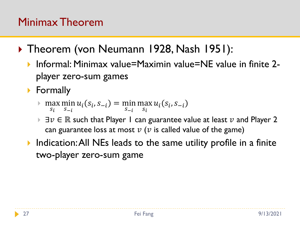#### Minimax Theorem

- ▶ Theorem (von Neumann 1928, Nash 1951):
	- ▶ Informal: Minimax value=Maximin value=NE value in finite 2player zero-sum games
	- **Formally** 
		- max  $s_i$ min  $S-i$  $u_i(s_i, s_{-i}) = \min_i$  $S-i$ max  $s_i$  $u_i(s_i, s_{-i})$
		- $\exists v \in \mathbb{R}$  **such that Player 1 can guarantee value at least**  $v$  **and Player 2** can guarantee loss at most  $\nu$  ( $\nu$  is called value of the game)
	- **Indication: All NEs leads to the same utility profile in a finite** two-player zero-sum game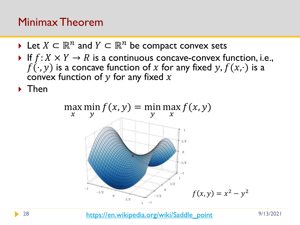#### Minimax Theorem

- $\blacktriangleright$  Let  $X \subset \mathbb{R}^n$  and  $Y \subset \mathbb{R}^n$  be compact convex sets
- If  $f: X \times Y \to R$  is a continuous concave-convex function, i.e.,  $f(\cdot, y)$  is a concave function of x for any fixed y,  $f(x, \cdot)$  is a convex function of  $y$  for any fixed  $x$

 $\blacktriangleright$  Then



28 [https://en.wikipedia.org/wiki/Saddle\\_point](https://en.wikipedia.org/wiki/Saddle_point) 9/13/2021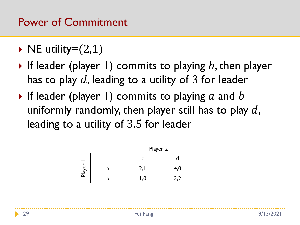#### Power of Commitment

 $\triangleright$  NE utility= $(2,1)$ 

- If leader (player 1) commits to playing b, then player has to play  $d$ , leading to a utility of 3 for leader
- If leader (player 1) commits to playing a and b uniformly randomly, then player still has to play  $d$ , leading to a utility of 3.5 for leader

|        | Player 2 |     |  |  |
|--------|----------|-----|--|--|
|        |          |     |  |  |
| Player | L,       | 4,0 |  |  |
|        |          |     |  |  |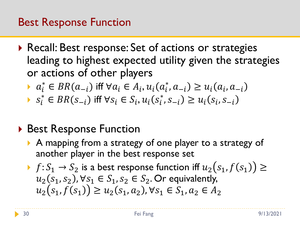#### Best Response Function

- ▶ Recall: Best response: Set of actions or strategies leading to highest expected utility given the strategies or actions of other players
	- $a_i^* \in BR(a_{-i})$  iff  $\forall a_i \in A_i, u_i(a_i^*, a_{-i}) \ge u_i(a_i, a_{-i})$
	- $s_i^* \in BR(s_{-i})$  iff  $\forall s_i \in S_i, u_i(s_i^*, s_{-i}) \ge u_i(s_i, s_{-i})$

#### ▶ Best Response Function

- A mapping from a strategy of one player to a strategy of another player in the best response set
- $\rightarrow f: S_1 \rightarrow S_2$  is a best response function iff  $u_2(s_1, f(s_1)) \ge$  $u_2(s_1, s_2)$ ,  $\forall s_1 \in S_1$ ,  $s_2 \in S_2$ . Or equivalently,  $u_2(s_1, f(s_1)) \ge u_2(s_1, a_2), \forall s_1 \in S_1, a_2 \in A_2$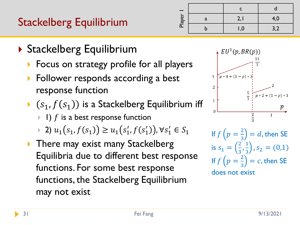# Stackelberg Equilibrium

| Player | a | 2, I | 4,0 |
|--------|---|------|-----|
|        |   | 0, ا | 3,2 |

- ▶ Stackelberg Equilibrium
	- ▶ Focus on strategy profile for all players
	- **Follower responds according a best** response function
	- $(s_1, f(s_1))$  is a Stackelberg Equilibrium iff
		- $\blacktriangleright$  1) f is a best response function
		- ▶ 2)  $u_1(s_1, f(s_1)) \ge u_1(s'_1, f(s'_1))$ ,  $\forall s'_1 \in S_1$
	- **There may exist many Stackelberg** Equilibria due to different best response functions. For some best response functions, the Stackelberg Equilibrium may not exist



If  $f(p=\frac{2}{3})$  $\frac{2}{3}$  = d, then SE is  $s_1 = \left(\frac{2}{3}\right)$  $\frac{2}{3}, \frac{1}{3}$  $\frac{1}{3}$ ,  $s_2 = (0,1)$ If  $f(p=\frac{2}{3})$  $\frac{2}{3}$  = c, then SE does not exist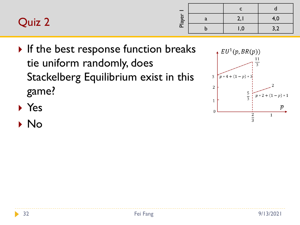| Quiz 2 | $\overline{\mathbf{v}}$<br>ିକ | $\sim$<br><u>.</u> |  |
|--------|-------------------------------|--------------------|--|
|        | $\overline{\mathbf{a}}$       |                    |  |

 $\triangleright$  If the best response function breaks tie uniform randomly, does Stackelberg Equilibrium exist in this game?



- Yes
- No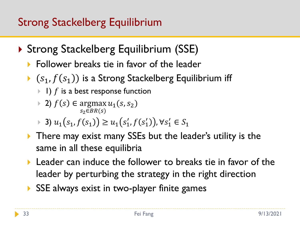# Strong Stackelberg Equilibrium

- ▶ Strong Stackelberg Equilibrium (SSE)
	- **Follower breaks tie in favor of the leader**
	- $(s_1, f(s_1))$  is a Strong Stackelberg Equilibrium iff
		- $\blacktriangleright$  1) f is a best response function
		- ▶ 2)  $f(s) \in \arg\max u_1(s, s_2)$  $S<sub>2</sub> \in BR(S)$
		- ▶ 3)  $u_1(s_1, f(s_1)) \ge u_1(s'_1, f(s'_1))$ ,  $\forall s'_1 \in S_1$
	- **There may exist many SSEs but the leader's utility is the** same in all these equilibria
	- **Leader can induce the follower to breaks tie in favor of the** leader by perturbing the strategy in the right direction
	- SSE always exist in two-player finite games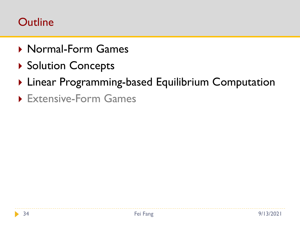#### **Outline**

- ▶ Normal-Form Games
- ▶ Solution Concepts
- ▶ Linear Programming-based Equilibrium Computation
- Extensive-Form Games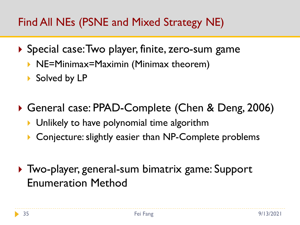# Find All NEs (PSNE and Mixed Strategy NE)

- Special case: Two player, finite, zero-sum game
	- ▶ NE=Minimax=Maximin (Minimax theorem)
	- Solved by LP
- General case: PPAD-Complete (Chen & Deng, 2006)
	- **I** Unlikely to have polynomial time algorithm
	- ▶ Conjecture: slightly easier than NP-Complete problems
- Two-player, general-sum bimatrix game: Support Enumeration Method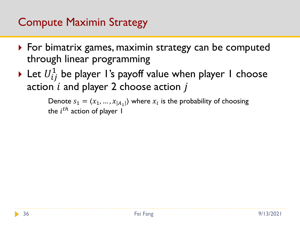## Compute Maximin Strategy

- ▶ For bimatrix games, maximin strategy can be computed through linear programming
- $\blacktriangleright$  Let  $U^1_{ij}$  be player I's payoff value when player I choose action  $i$  and player 2 choose action  $j$

Denote  $s_1 = \langle x_1, ..., x_{|A_1|} \rangle$  where  $x_i$  is the probability of choosing the  $i^{th}$  action of player 1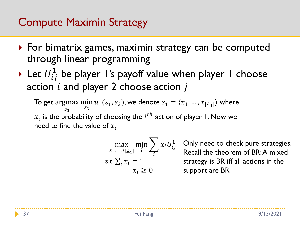- ▶ For bimatrix games, maximin strategy can be computed through linear programming
- $\blacktriangleright$  Let  $U^1_{ij}$  be player I's payoff value when player I choose action  $i$  and player 2 choose action  $j$

To get argmax min  $S<sub>1</sub>$  $\min_{S_2} u_1(S_1, S_2)$ , we denote  $S_1 = \langle x_1, \ldots, x_{|A_1|} \rangle$  where  $x_i$  is the probability of choosing the  $i^{th}$  action of player 1. Now we need to find the value of  $x_i$ 

$$
\max_{x_1, \dots, x_{|A_1|}} \min_j \sum_i x_i U_{ij}^1
$$
  
s.t.  $\sum_i x_i = 1$   
 $x_i \ge 0$ 

Only need to check pure strategies. Recall the theorem of BR: A mixed strategy is BR iff all actions in the support are BR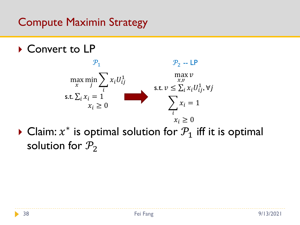▶ Convert to LP



▶ Claim:  $x^*$  is optimal solution for  $\mathcal{P}_1$  iff it is optimal solution for  $P_2$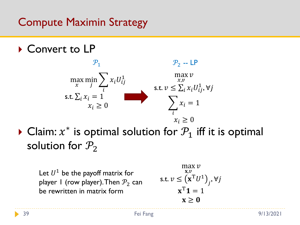▶ Convert to LP



▶ Claim:  $x^*$  is optimal solution for  $\mathcal{P}_1$  iff it is optimal solution for  $P_2$ 

Let  $U^1$  be the payoff matrix for player 1 (row player). Then  $P_2$  can be rewritten in matrix form

$$
\max_{\mathbf{x}, v} v
$$
  
s.t.  $v \leq (\mathbf{x}^T U^1)_j, \forall j$   
 $\mathbf{x}^T \mathbf{1} = 1$   
 $\mathbf{x} \geq \mathbf{0}$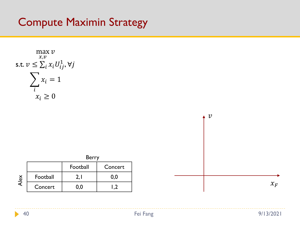



40 Fei Fang 9/13/2021

ь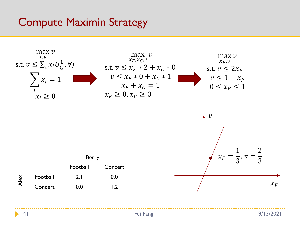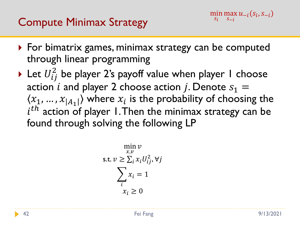# Compute Minimax Strategy

- ▶ For bimatrix games, minimax strategy can be computed through linear programming
- $\blacktriangleright$  Let  $U_{ij}^2$  be player 2's payoff value when player 1 choose action *i* and player 2 choose action *j*. Denote  $s_1 =$  $\langle x_1, ..., x_{|A_1|} \rangle$  where  $x_i$  is the probability of choosing the  $i<sup>th</sup>$  action of player 1. Then the minimax strategy can be found through solving the following LP

$$
\min_{x,v} v
$$
  
s.t.  $v \ge \sum_{i} x_{i} U_{ij}^{2}, \forall j$   

$$
\sum_{i} x_{i} = 1
$$
  
 $x_{i} \ge 0$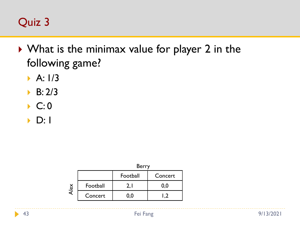# Quiz 3

- ▶ What is the minimax value for player 2 in the following game?
	- $\triangleright$  A:  $1/3$
	- B: 2/3
	- $\blacktriangleright$  C: 0
	- $\triangleright$  D: 1

|      |          | <b>Berry</b> |         |  |  |
|------|----------|--------------|---------|--|--|
|      |          | Football     | Concert |  |  |
| Alex | Football |              | 0,0     |  |  |
|      | Concert  | 0.0          |         |  |  |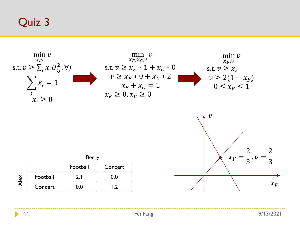#### Quiz 3



44 Fei Fang 9/13/2021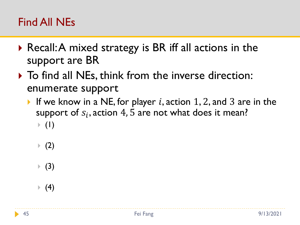- ▶ Recall: A mixed strategy is BR iff all actions in the support are BR
- $\triangleright$  To find all NEs, think from the inverse direction: enumerate support
	- If we know in a NE, for player i, action 1, 2, and 3 are in the support of  $s_i$ , action  $4$ ,  $5$  are not what does it mean?  $\blacktriangleright$  (1)
		- $(2)$
		- $(3)$
		- $(4)$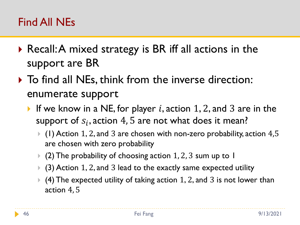- ▶ Recall: A mixed strategy is BR iff all actions in the support are BR
- $\triangleright$  To find all NEs, think from the inverse direction: enumerate support
	- If we know in a NE, for player i, action 1, 2, and 3 are in the support of  $s_i$ , action  $4$ ,  $5$  are not what does it mean?
		- $\blacktriangleright$  (1) Action 1, 2, and 3 are chosen with non-zero probability, action 4,5 are chosen with zero probability
		- $\blacktriangleright$  (2) The probability of choosing action 1, 2, 3 sum up to 1
		- $(3)$  Action 1, 2, and 3 lead to the exactly same expected utility
		- $\blacktriangleright$  (4) The expected utility of taking action 1, 2, and 3 is not lower than action 4, 5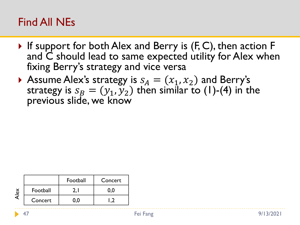- If support for both Alex and Berry is  $(F, C)$ , then action F and C should lead to same expected utility for Alex when fixing Berry's strategy and vice versa
- Assume Alex's strategy is  $s_A = (x_1, x_2)$  and Berry's strategy is  $s_B = (y_1, y_2)$  then similar to (1)-(4) in the previous slide, we know

|   |          | Football<br>Concert |  |
|---|----------|---------------------|--|
| ă | Football |                     |  |
|   | Concert  |                     |  |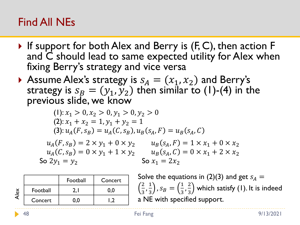- If support for both Alex and Berry is  $(F, C)$ , then action F and C should lead to same expected utility for Alex when fixing Berry's strategy and vice versa
- Assume Alex's strategy is  $s_A = (x_1, x_2)$  and Berry's strategy is  $s_B = (y_1, y_2)$  then similar to (1)-(4) in the previous slide, we know

(1): 
$$
x_1 > 0
$$
,  $x_2 > 0$ ,  $y_1 > 0$ ,  $y_2 > 0$   
\n(2):  $x_1 + x_2 = 1$ ,  $y_1 + y_2 = 1$   
\n(3):  $u_A(F, s_B) = u_A(C, s_B)$ ,  $u_B(s_A, F) = u_B(s_A, C)$   
\n $u_A(F, s_B) = 2 \times y_1 + 0 \times y_2$   $u_B(s_A, F) = 1 \times x_1 + 0 \times x_2$   
\n $u_A(C, s_B) = 0 \times y_1 + 1 \times y_2$   $u_B(s_A, C) = 0 \times x_1 + 2 \times x_2$   
\nSo  $2y_1 = y_2$  So  $x_1 = 2x_2$ 

|                                |          | Football<br>Concert |     |
|--------------------------------|----------|---------------------|-----|
| $\frac{\delta}{\epsilon}$<br>ᡒ | Football |                     | 0.0 |
|                                | Concert  |                     |     |

Solve the equations in (2)(3) and get  $s_A =$ 2  $\frac{2}{3}, \frac{1}{3}$  $\left(\frac{1}{3}\right)$ ,  $S_B = \left(\frac{1}{3}\right)$  $\frac{1}{3}, \frac{2}{3}$ 3 which satisfy (1). It is indeed a NE with specified support.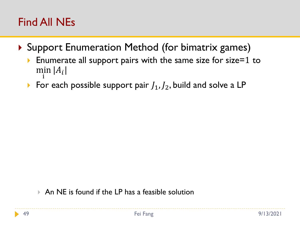- ▶ Support Enumeration Method (for bimatrix games)
	- Enumerate all support pairs with the same size for size=1 to min i  $|A_i|$
	- For each possible support pair  $J_1, J_2$ , build and solve a LP

An NE is found if the LP has a feasible solution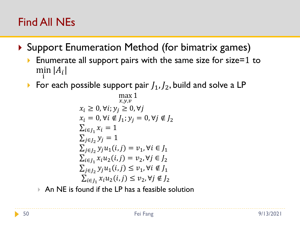- ▶ Support Enumeration Method (for bimatrix games)
	- Enumerate all support pairs with the same size for size=1 to min i  $|A_i|$
	- For each possible support pair  $J_1, J_2$ , build and solve a LP

$$
\max_{x,y,v} 1
$$
  
\n $x_i \ge 0, \forall i; y_j \ge 0, \forall j$   
\n $x_i = 0, \forall i \notin J_1; y_j = 0, \forall j \notin J_2$   
\n $\sum_{i \in J_1} x_i = 1$   
\n $\sum_{j \in J_2} y_j = 1$   
\n $\sum_{j \in J_2} y_j u_1(i,j) = v_1, \forall i \in J_1$   
\n $\sum_{i \in J_1} x_i u_2(i,j) = v_2, \forall j \in J_2$   
\n $\sum_{j \in J_2} y_j u_1(i,j) \le v_1, \forall i \notin J_1$   
\n $\sum_{i \in J_1} x_i u_2(i,j) \le v_2, \forall j \notin J_2$ 

 $\triangleright$  An NE is found if the LP has a feasible solution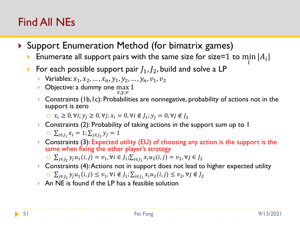- ▶ Support Enumeration Method (for bimatrix games)
	- **Enumerate all support pairs with the same size for size=1 to min** i  $|A_i|$
	- For each possible support pair  $J_1, J_2$ , build and solve a LP
		- ▶ Variables:  $x_1, x_2, ..., x_n, y_1, y_2, ..., y_n, v_1, v_2$
		- ▶ Objective: a dummy one max  $x,y,v$ 1
		- ▶ Constraints (1b,1c): Probabilities are nonnegative, probability of actions not in the support is zero

 $\Box$   $x_i \geq 0$ ,  $\forall i$ ;  $y_i \geq 0$ ,  $\forall j$ ;  $x_i = 0$ ,  $\forall i \notin J_1$ ;  $y_i = 0$ ,  $\forall j \notin J_2$ 

- ▶ Constraints (2): Probability of taking actions in the support sum up to 1  $\sum_{i \in J_1} x_i = 1; \sum_{j \in J_2} y_j = 1$
- ▶ Constraints (3): Expected utility (EU) of choosing any action is the support is the same when fixing the other player's strategy
	- □  $\sum_{j\in J_2} y_j u_1(i,j) = v_1, \forall i \in J_1; \sum_{i\in J_1} x_i u_2(i,j) = v_2, \forall j \in J_2$
- ▶ Constraints (4): Actions not in support does not lead to higher expected utility  $\Box \sum_{j\in J_2} y_j u_1(i,j) \le v_1, \forall i \notin J_1; \sum_{i\in J_1} x_i u_2(i,j) \le v_2, \forall j \notin J_2$
- An NE is found if the LP has a feasible solution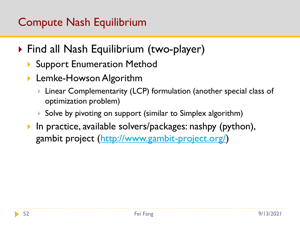# Compute Nash Equilibrium

- ▶ Find all Nash Equilibrium (two-player)
	- **Support Enumeration Method**
	- ▶ Lemke-Howson Algorithm
		- Linear Complementarity (LCP) formulation (another special class of optimization problem)
		- $\triangleright$  Solve by pivoting on support (similar to Simplex algorithm)
	- ▶ In practice, available solvers/packages: nashpy (python), gambit project [\(http://www.gambit-project.org/](http://www.gambit-project.org/))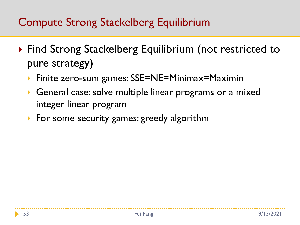- ▶ Find Strong Stackelberg Equilibrium (not restricted to pure strategy)
	- Finite zero-sum games: SSE=NE=Minimax=Maximin
	- General case: solve multiple linear programs or a mixed integer linear program
	- For some security games: greedy algorithm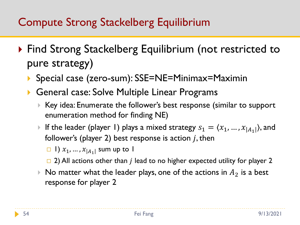- ▶ Find Strong Stackelberg Equilibrium (not restricted to pure strategy)
	- ▶ Special case (zero-sum): SSE=NE=Minimax=Maximin
	- General case: Solve Multiple Linear Programs
		- Key idea: Enumerate the follower's best response (similar to support enumeration method for finding NE)
		- If the leader (player 1) plays a mixed strategy  $s_1 = \langle x_1, ..., x_{|A_1|} \rangle$ , and follower's (player 2) best response is action  $j$ , then
			- $\Box$  |)  $x_1, ..., x_{|A_1|}$  sum up to |
			- $\Box$  2) All actions other than *j* lead to no higher expected utility for player 2
		- $\triangleright$  No matter what the leader plays, one of the actions in  $A_2$  is a best response for player 2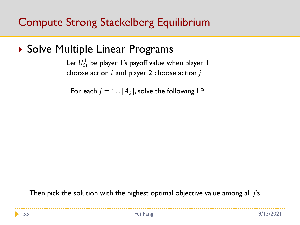#### ▶ Solve Multiple Linear Programs

Let  $U_{ij}^1$  be player 1's payoff value when player 1 choose action  $i$  and player 2 choose action  $j$ 

For each  $j = 1$ .  $|A_2|$ , solve the following LP

Then pick the solution with the highest optimal objective value among all  $j$ 's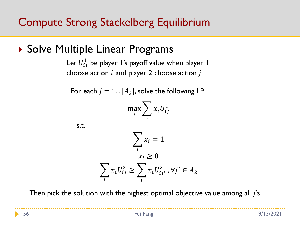▶ Solve Multiple Linear Programs

Let  $U_{ij}^1$  be player 1's payoff value when player 1 choose action  $i$  and player 2 choose action  $j$ 

For each  $j = 1$ .  $|A_2|$ , solve the following LP

$$
\max_{x} \sum_{i} x_i U_{ij}^1
$$

s.t.

$$
\sum_i x_i = 1
$$
  

$$
x_i \ge 0
$$
  

$$
\sum_i x_i U_{ij}^2 \ge \sum_i x_i U_{ij}^2, \forall j' \in A_2
$$

Then pick the solution with the highest optimal objective value among all  $j$ 's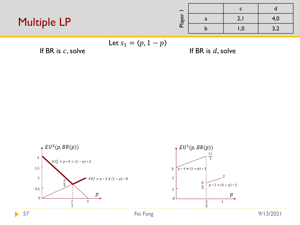### Multiple LP

| Player | a | 2,1        | 4,0 |
|--------|---|------------|-----|
|        |   | $\sqrt{0}$ | 3,2 |

$$
\mathsf{Let}\ s_1 = \langle p, 1-p \rangle
$$

If BR is  $c$ , solve If BR is  $d$ , solve

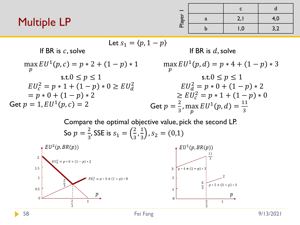### Multiple LP

| Player | a | 2,1  | 4,0 |
|--------|---|------|-----|
|        |   | 0, ا | 3,2 |

Let 
$$
s_1 = \langle p, 1 - p \rangle
$$
  
\nIf BR is *c*, solve  
\n
$$
\max_{p} EU^1(p, c) = p * 2 + (1 - p) * 1
$$
\n
$$
\text{S.t. } 0 \le p \le 1
$$
\n
$$
EU_c^2 = p * 1 + (1 - p) * 0 \ge EU_d^2
$$
\n
$$
= p * 0 + (1 - p) * 2
$$
\n
$$
= 1, EU^1(p, c) = 2
$$
\n
$$
EU_d^2 = p * 1 + (1 - p) * 2
$$
\n
$$
= \frac{1}{2}, \max EU^1(p, d) = \frac{11}{3}
$$
\n
$$
= \frac{2}{3}, \max EU^1(p, d) = \frac{11}{3}
$$

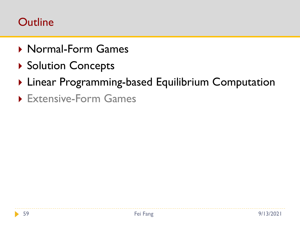### **Outline**

- ▶ Normal-Form Games
- ▶ Solution Concepts
- ▶ Linear Programming-based Equilibrium Computation
- Extensive-Form Games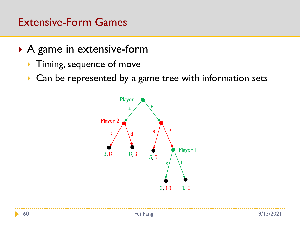- ▶ A game in extensive-form
	- **Timing, sequence of move**
	- ▶ Can be represented by a game tree with information sets

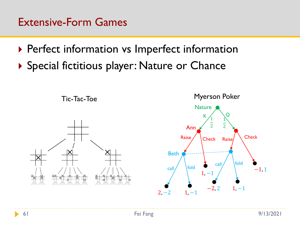- ▶ Perfect information vs Imperfect information
- ▶ Special fictitious player: Nature or Chance

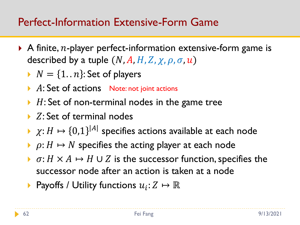### Perfect-Information Extensive-Form Game

- A finite,  $n$ -player perfect-information extensive-form game is described by a tuple  $(N, A, H, Z, \chi, \rho, \sigma, u)$ 
	- $N = \{1.. n\}$ : Set of players
	- A: Set of actions Note: not joint actions
	- $\blacktriangleright$  H: Set of non-terminal nodes in the game tree
	- $\triangleright$  Z: Set of terminal nodes
	- $\rightarrow \chi: H \mapsto \{0,1\}^{|A|}$  specifies actions available at each node
	- $\rho: H \mapsto N$  specifies the acting player at each node
	- $\triangleright$   $\sigma$ :  $H \times A \mapsto H \cup Z$  is the successor function, specifies the successor node after an action is taken at a node
	- **•** Payoffs / Utility functions  $u_i: Z \mapsto \mathbb{R}$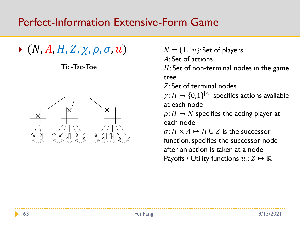#### Perfect-Information Extensive-Form Game

 $\blacktriangleright$  (N, A, H, Z,  $\chi$ ,  $\rho$ ,  $\sigma$ ,  $u$ )

Tic-Tac-Toe



 $N = \{1.. n\}$ : Set of players

A: Set of actions

 $H:$  Set of non-terminal nodes in the game tree

: Set of terminal nodes

 $\chi\hbox{:}\ H\mapsto\{0,1\}^{|A|}$  specifies actions available at each node

 $\rho: H \mapsto N$  specifies the acting player at each node

 $\sigma: H \times A \mapsto H \cup Z$  is the successor function, specifies the successor node after an action is taken at a node Payoffs / Utility functions  $u_i\colon\! Z\mapsto\mathbb{R}$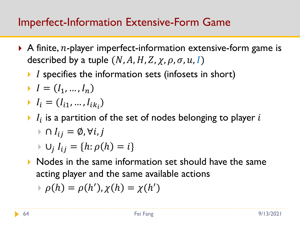## Imperfect-Information Extensive-Form Game

- A finite,  $n$ -player imperfect-information extensive-form game is described by a tuple  $(N, A, H, Z, \chi, \rho, \sigma, u, I)$ 
	- $\blacktriangleright$  I specifies the information sets (infosets in short)
	- $I = (I_1, ..., I_n)$
	- $I_i = (I_{i1}, ..., I_{ik_i})$
	- $\blacktriangleright$   $I_i$  is a partition of the set of nodes belonging to player  $i$

$$
\triangleright \cap I_{ij} = \emptyset, \forall i, j
$$

$$
\vdash \cup_j I_{ij} = \{h : \rho(h) = i\}
$$

Nodes in the same information set should have the same acting player and the same available actions

$$
\Rightarrow \rho(h) = \rho(h'), \chi(h) = \chi(h')
$$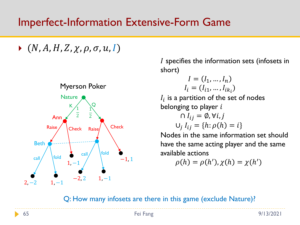### Imperfect-Information Extensive-Form Game

 $\blacktriangleright$   $(N, A, H, Z, \chi, \rho, \sigma, u, I)$ 



 $I$  specifies the information sets (infosets in short)

$$
I = (I_1, \dots, I_n)
$$

$$
I_i = (I_{i1}, \dots, I_{ik_i})
$$

 $I_i$  is a partition of the set of nodes belonging to player  $i$ 

$$
\bigcap I_{ij} = \emptyset, \forall i, j
$$
  

$$
\bigcup_j I_{ij} = \{h : \rho(h) = i\}
$$

Nodes in the same information set should have the same acting player and the same available actions

$$
\rho(h) = \rho(h'), \chi(h) = \chi(h')
$$

Q: How many infosets are there in this game (exclude Nature)?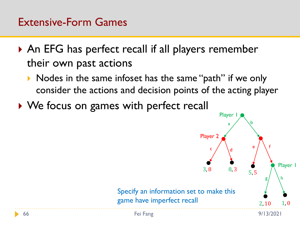- ▶ An EFG has perfect recall if all players remember their own past actions
	- Nodes in the same infoset has the same "path" if we only consider the actions and decision points of the acting player
- ▶ We focus on games with perfect recall

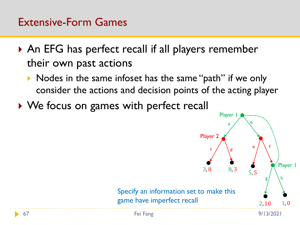- ▶ An EFG has perfect recall if all players remember their own past actions
	- Nodes in the same infoset has the same "path" if we only consider the actions and decision points of the acting player
- ▶ We focus on games with perfect recall

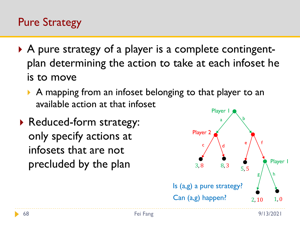## Pure Strategy

- ▶ A pure strategy of a player is a complete contingentplan determining the action to take at each infoset he is to move
	- A mapping from an infoset belonging to that player to an available action at that infoset
- ▶ Reduced-form strategy: only specify actions at infosets that are not precluded by the plan

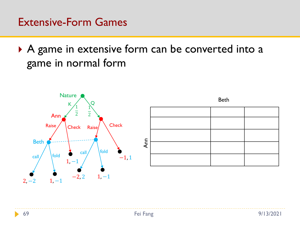A game in extensive form can be converted into a game in normal form



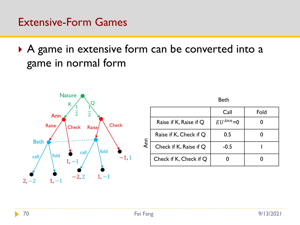A game in extensive form can be converted into a game in normal form



|    |                        | Call            | Fold |
|----|------------------------|-----------------|------|
| gu | Raise if K, Raise if Q | $EII^{Ann} = 0$ |      |
|    | Raise if K, Check if Q | 0.5             |      |
|    | Check if K, Raise if Q | $-0.5$          |      |
|    | Check if K, Check if Q |                 |      |

Beth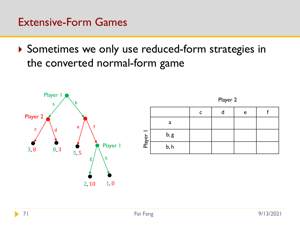▶ Sometimes we only use reduced-form strategies in the converted normal-form game





|        |      |  | e |  |
|--------|------|--|---|--|
|        | a    |  |   |  |
|        | b, g |  |   |  |
| Player | b, h |  |   |  |

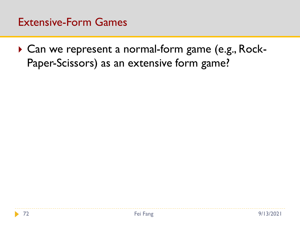▶ Can we represent a normal-form game (e.g., Rock-Paper-Scissors) as an extensive form game?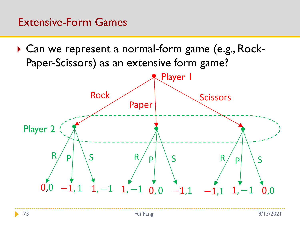#### Extensive-Form Games

▶ Can we represent a normal-form game (e.g., Rock-Paper-Scissors) as an extensive form game?

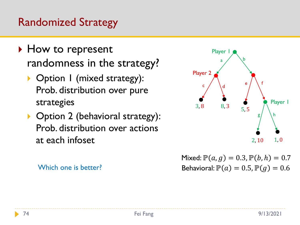### Randomized Strategy

- ▶ How to represent randomness in the strategy?
	- ▶ Option I (mixed strategy): Prob. distribution over pure strategies
	- ▶ Option 2 (behavioral strategy): Prob. distribution over actions at each infoset





Behavioral:  $\mathbb{P}(a) = 0.5$ ,  $\mathbb{P}(g) = 0.6$ Mixed:  $P(a, g) = 0.3, P(b, h) = 0.7$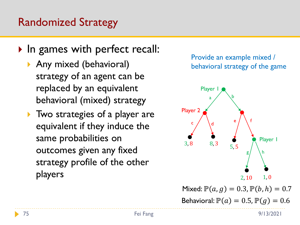### Randomized Strategy

- In games with perfect recall:
	- ▶ Any mixed (behavioral) strategy of an agent can be replaced by an equivalent behavioral (mixed) strategy
	- Two strategies of a player are equivalent if they induce the same probabilities on outcomes given any fixed strategy profile of the other players

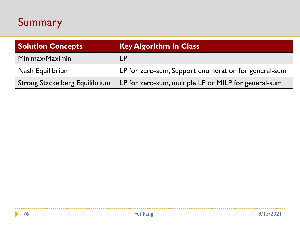# Summary

| <b>Solution Concepts</b>              | <b>Key Algorithm In Class</b>                        |
|---------------------------------------|------------------------------------------------------|
| Minimax/Maximin                       | l P                                                  |
| Nash Equilibrium                      | LP for zero-sum, Support enumeration for general-sum |
| <b>Strong Stackelberg Equilibrium</b> | LP for zero-sum, multiple LP or MILP for general-sum |